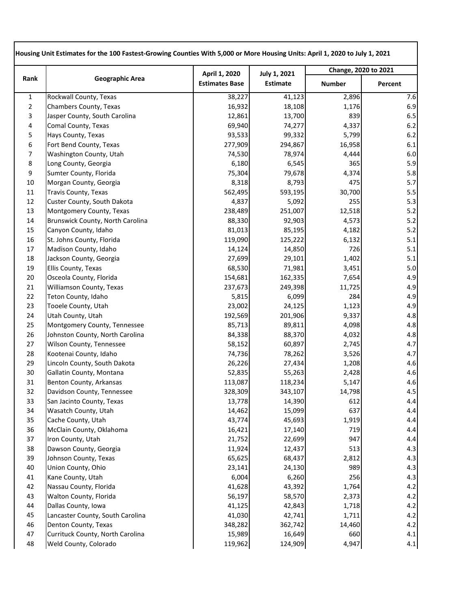| Rank           | <b>Geographic Area</b>           | April 1, 2020         | <b>July 1, 2021</b><br><b>Estimate</b> | Change, 2020 to 2021 |         |
|----------------|----------------------------------|-----------------------|----------------------------------------|----------------------|---------|
|                |                                  | <b>Estimates Base</b> |                                        | <b>Number</b>        | Percent |
| $\mathbf{1}$   | Rockwall County, Texas           | 38,227                | 41,123                                 | 2,896                | 7.6     |
| $\overline{2}$ | Chambers County, Texas           | 16,932                | 18,108                                 | 1,176                | 6.9     |
| 3              | Jasper County, South Carolina    | 12,861                | 13,700                                 | 839                  | 6.5     |
| 4              | Comal County, Texas              | 69,940                | 74,277                                 | 4,337                | 6.2     |
| 5              | Hays County, Texas               | 93,533                | 99,332                                 | 5,799                | 6.2     |
| 6              | Fort Bend County, Texas          | 277,909               | 294,867                                | 16,958               | 6.1     |
| 7              | Washington County, Utah          | 74,530                | 78,974                                 | 4,444                | 6.0     |
| 8              | Long County, Georgia             | 6,180                 | 6,545                                  | 365                  | 5.9     |
| 9              | Sumter County, Florida           | 75,304                | 79,678                                 | 4,374                | 5.8     |
| 10             | Morgan County, Georgia           | 8,318                 | 8,793                                  | 475                  | 5.7     |
| 11             | <b>Travis County, Texas</b>      | 562,495               | 593,195                                | 30,700               | 5.5     |
| 12             | Custer County, South Dakota      | 4,837                 | 5,092                                  | 255                  | 5.3     |
| 13             | Montgomery County, Texas         | 238,489               | 251,007                                | 12,518               | 5.2     |
| 14             | Brunswick County, North Carolina | 88,330                | 92,903                                 | 4,573                | 5.2     |
| 15             | Canyon County, Idaho             | 81,013                | 85,195                                 | 4,182                | 5.2     |
| 16             | St. Johns County, Florida        | 119,090               | 125,222                                | 6,132                | 5.1     |
| 17             | Madison County, Idaho            | 14,124                | 14,850                                 | 726                  | 5.1     |
| 18             | Jackson County, Georgia          | 27,699                | 29,101                                 | 1,402                | 5.1     |
| 19             | Ellis County, Texas              | 68,530                | 71,981                                 | 3,451                | 5.0     |
| 20             | Osceola County, Florida          | 154,681               | 162,335                                | 7,654                | 4.9     |
| 21             | Williamson County, Texas         | 237,673               | 249,398                                | 11,725               | 4.9     |
| 22             | Teton County, Idaho              | 5,815                 | 6,099                                  | 284                  | 4.9     |
| 23             | Tooele County, Utah              | 23,002                | 24,125                                 | 1,123                | 4.9     |
| 24             | Utah County, Utah                | 192,569               | 201,906                                | 9,337                | 4.8     |
| 25             | Montgomery County, Tennessee     | 85,713                | 89,811                                 | 4,098                | 4.8     |
| 26             | Johnston County, North Carolina  | 84,338                | 88,370                                 | 4,032                | 4.8     |
| 27             | Wilson County, Tennessee         | 58,152                | 60,897                                 | 2,745                | 4.7     |
| 28             | Kootenai County, Idaho           | 74,736                | 78,262                                 | 3,526                | 4.7     |
| 29             | Lincoln County, South Dakota     | 26,226                | 27,434                                 | 1,208                | 4.6     |
| 30             | Gallatin County, Montana         | 52,835                | 55,263                                 | 2,428                | 4.6     |
| 31             | Benton County, Arkansas          | 113,087               | 118,234                                | 5,147                | 4.6     |
| 32             | Davidson County, Tennessee       | 328,309               | 343,107                                | 14,798               | 4.5     |
| 33             | San Jacinto County, Texas        | 13,778                | 14,390                                 | 612                  | 4.4     |
| 34             | Wasatch County, Utah             | 14,462                | 15,099                                 | 637                  | 4.4     |
| 35             | Cache County, Utah               | 43,774                | 45,693                                 | 1,919                | 4.4     |
| 36             | McClain County, Oklahoma         | 16,421                | 17,140                                 | 719                  | 4.4     |
| 37             | Iron County, Utah                | 21,752                | 22,699                                 | 947                  | 4.4     |
| 38             | Dawson County, Georgia           | 11,924                | 12,437                                 | 513                  | 4.3     |
| 39             | Johnson County, Texas            | 65,625                | 68,437                                 | 2,812                | 4.3     |
| 40             | Union County, Ohio               | 23,141                | 24,130                                 | 989                  | 4.3     |
| 41             | Kane County, Utah                | 6,004                 | 6,260                                  | 256                  | 4.3     |
| 42             | Nassau County, Florida           | 41,628                | 43,392                                 | 1,764                | 4.2     |
| 43             | Walton County, Florida           | 56,197                | 58,570                                 | 2,373                | 4.2     |
| 44             | Dallas County, Iowa              | 41,125                | 42,843                                 | 1,718                | 4.2     |
| 45             | Lancaster County, South Carolina | 41,030                | 42,741                                 | 1,711                | 4.2     |
| 46             | Denton County, Texas             | 348,282               | 362,742                                | 14,460               | 4.2     |
| 47             | Currituck County, North Carolina | 15,989                | 16,649                                 | 660                  | 4.1     |
| 48             | Weld County, Colorado            | 119,962               | 124,909                                | 4,947                | 4.1     |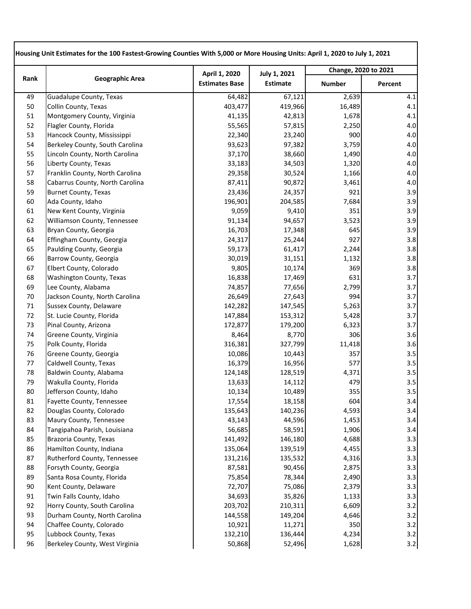| Rank | <b>Geographic Area</b>          | April 1, 2020         | <b>July 1, 2021</b><br><b>Estimate</b> | Change, 2020 to 2021 |         |
|------|---------------------------------|-----------------------|----------------------------------------|----------------------|---------|
|      |                                 | <b>Estimates Base</b> |                                        | <b>Number</b>        | Percent |
| 49   | Guadalupe County, Texas         | 64,482                | 67,121                                 | 2,639                | 4.1     |
| 50   | Collin County, Texas            | 403,477               | 419,966                                | 16,489               | 4.1     |
| 51   | Montgomery County, Virginia     | 41,135                | 42,813                                 | 1,678                | 4.1     |
| 52   | Flagler County, Florida         | 55,565                | 57,815                                 | 2,250                | 4.0     |
| 53   | Hancock County, Mississippi     | 22,340                | 23,240                                 | 900                  | 4.0     |
| 54   | Berkeley County, South Carolina | 93,623                | 97,382                                 | 3,759                | 4.0     |
| 55   | Lincoln County, North Carolina  | 37,170                | 38,660                                 | 1,490                | 4.0     |
| 56   | Liberty County, Texas           | 33,183                | 34,503                                 | 1,320                | 4.0     |
| 57   | Franklin County, North Carolina | 29,358                | 30,524                                 | 1,166                | 4.0     |
| 58   | Cabarrus County, North Carolina | 87,411                | 90,872                                 | 3,461                | 4.0     |
| 59   | <b>Burnet County, Texas</b>     | 23,436                | 24,357                                 | 921                  | 3.9     |
| 60   | Ada County, Idaho               | 196,901               | 204,585                                | 7,684                | 3.9     |
| 61   | New Kent County, Virginia       | 9,059                 | 9,410                                  | 351                  | 3.9     |
| 62   | Williamson County, Tennessee    | 91,134                | 94,657                                 | 3,523                | 3.9     |
| 63   | Bryan County, Georgia           | 16,703                | 17,348                                 | 645                  | 3.9     |
| 64   | Effingham County, Georgia       | 24,317                | 25,244                                 | 927                  | 3.8     |
| 65   | Paulding County, Georgia        | 59,173                | 61,417                                 | 2,244                | 3.8     |
| 66   | Barrow County, Georgia          | 30,019                | 31,151                                 | 1,132                | 3.8     |
| 67   | Elbert County, Colorado         | 9,805                 | 10,174                                 | 369                  | 3.8     |
| 68   | Washington County, Texas        | 16,838                | 17,469                                 | 631                  | 3.7     |
| 69   | Lee County, Alabama             | 74,857                | 77,656                                 | 2,799                | 3.7     |
| 70   | Jackson County, North Carolina  | 26,649                | 27,643                                 | 994                  | 3.7     |
| 71   | <b>Sussex County, Delaware</b>  | 142,282               | 147,545                                | 5,263                | 3.7     |
| 72   | St. Lucie County, Florida       | 147,884               | 153,312                                | 5,428                | 3.7     |
| 73   | Pinal County, Arizona           | 172,877               | 179,200                                | 6,323                | 3.7     |
| 74   | Greene County, Virginia         | 8,464                 | 8,770                                  | 306                  | 3.6     |
| 75   | Polk County, Florida            | 316,381               | 327,799                                | 11,418               | 3.6     |
| 76   | Greene County, Georgia          | 10,086                | 10,443                                 | 357                  | 3.5     |
| 77   | Caldwell County, Texas          | 16,379                | 16,956                                 | 577                  | 3.5     |
| 78   | Baldwin County, Alabama         | 124,148               | 128,519                                | 4,371                | 3.5     |
| 79   | Wakulla County, Florida         | 13,633                | 14,112                                 | 479                  | 3.5     |
| 80   | Jefferson County, Idaho         | 10,134                | 10,489                                 | 355                  | 3.5     |
| 81   | Fayette County, Tennessee       | 17,554                | 18,158                                 | 604                  | 3.4     |
| 82   | Douglas County, Colorado        | 135,643               | 140,236                                | 4,593                | 3.4     |
| 83   | Maury County, Tennessee         | 43,143                | 44,596                                 | 1,453                | 3.4     |
| 84   | Tangipahoa Parish, Louisiana    | 56,685                | 58,591                                 | 1,906                | 3.4     |
| 85   | Brazoria County, Texas          | 141,492               | 146,180                                | 4,688                | 3.3     |
| 86   | Hamilton County, Indiana        | 135,064               | 139,519                                | 4,455                | 3.3     |
| 87   | Rutherford County, Tennessee    | 131,216               | 135,532                                | 4,316                | 3.3     |
| 88   | Forsyth County, Georgia         | 87,581                | 90,456                                 | 2,875                | 3.3     |
| 89   | Santa Rosa County, Florida      | 75,854                | 78,344                                 | 2,490                | 3.3     |
| 90   | Kent County, Delaware           | 72,707                | 75,086                                 | 2,379                | 3.3     |
| 91   | Twin Falls County, Idaho        | 34,693                | 35,826                                 | 1,133                | 3.3     |
| 92   | Horry County, South Carolina    | 203,702               | 210,311                                | 6,609                | 3.2     |
| 93   | Durham County, North Carolina   | 144,558               | 149,204                                | 4,646                | 3.2     |
| 94   | Chaffee County, Colorado        | 10,921                | 11,271                                 | 350                  | 3.2     |
| 95   | Lubbock County, Texas           | 132,210               | 136,444                                | 4,234                | 3.2     |
| 96   | Berkeley County, West Virginia  | 50,868                | 52,496                                 | 1,628                | 3.2     |